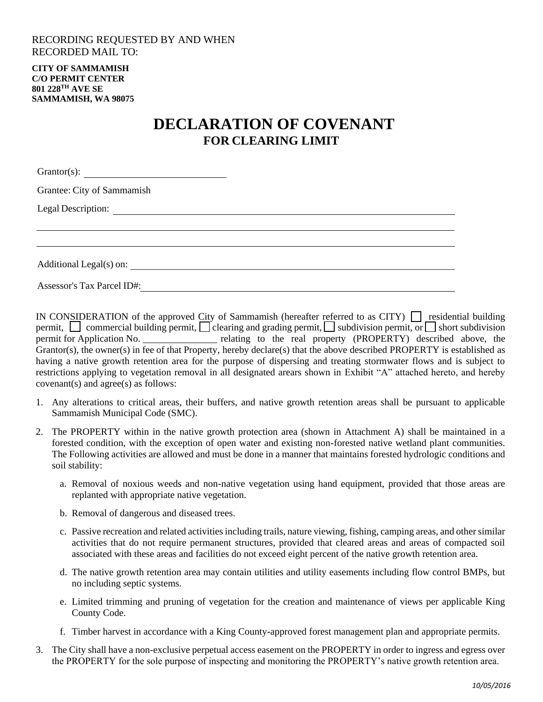## RECORDING REQUESTED BY AND WHEN RECORDED MAIL TO:

**CITY OF SAMMAMISH C/O PERMIT CENTER 801 228TH AVE SE SAMMAMISH, WA 98075**

## **DECLARATION OF COVENANT FOR CLEARING LIMIT**

| Grantor(s): $\qquad \qquad \qquad$ |  |  |
|------------------------------------|--|--|
| Grantee: City of Sammamish         |  |  |
|                                    |  |  |
|                                    |  |  |
|                                    |  |  |
|                                    |  |  |
| <b>Assessor's Tax Parcel ID#:</b>  |  |  |

IN CONSIDERATION of the approved City of Sammamish (hereafter referred to as CITY)  $\Box$  residential building permit,  $\Box$  commercial building permit,  $\Box$  clearing and grading permit,  $\Box$  subdivision permit, or  $\Box$  short subdivision permit for Application No. The relating to the real property (PROPERTY) described above, the Grantor(s), the owner(s) in fee of that Property, hereby declare(s) that the above described PROPERTY is established as having a native growth retention area for the purpose of dispersing and treating stormwater flows and is subject to restrictions applying to vegetation removal in all designated arears shown in Exhibit "A" attached hereto, and hereby covenant(s) and agree(s) as follows:

- 1. Any alterations to critical areas, their buffers, and native growth retention areas shall be pursuant to applicable Sammamish Municipal Code (SMC).
- 2. The PROPERTY within in the native growth protection area (shown in Attachment A) shall be maintained in a forested condition, with the exception of open water and existing non-forested native wetland plant communities. The Following activities are allowed and must be done in a manner that maintains forested hydrologic conditions and soil stability:
	- a. Removal of noxious weeds and non-native vegetation using hand equipment, provided that those areas are replanted with appropriate native vegetation.
	- b. Removal of dangerous and diseased trees.
	- c. Passive recreation and related activities including trails, nature viewing, fishing, camping areas, and other similar activities that do not require permanent structures, provided that cleared areas and areas of compacted soil associated with these areas and facilities do not exceed eight percent of the native growth retention area.
	- d. The native growth retention area may contain utilities and utility easements including flow control BMPs, but no including septic systems.
	- e. Limited trimming and pruning of vegetation for the creation and maintenance of views per applicable King County Code.
	- f. Timber harvest in accordance with a King County-approved forest management plan and appropriate permits.
- 3. The City shall have a non-exclusive perpetual access easement on the PROPERTY in order to ingress and egress over the PROPERTY for the sole purpose of inspecting and monitoring the PROPERTY's native growth retention area.